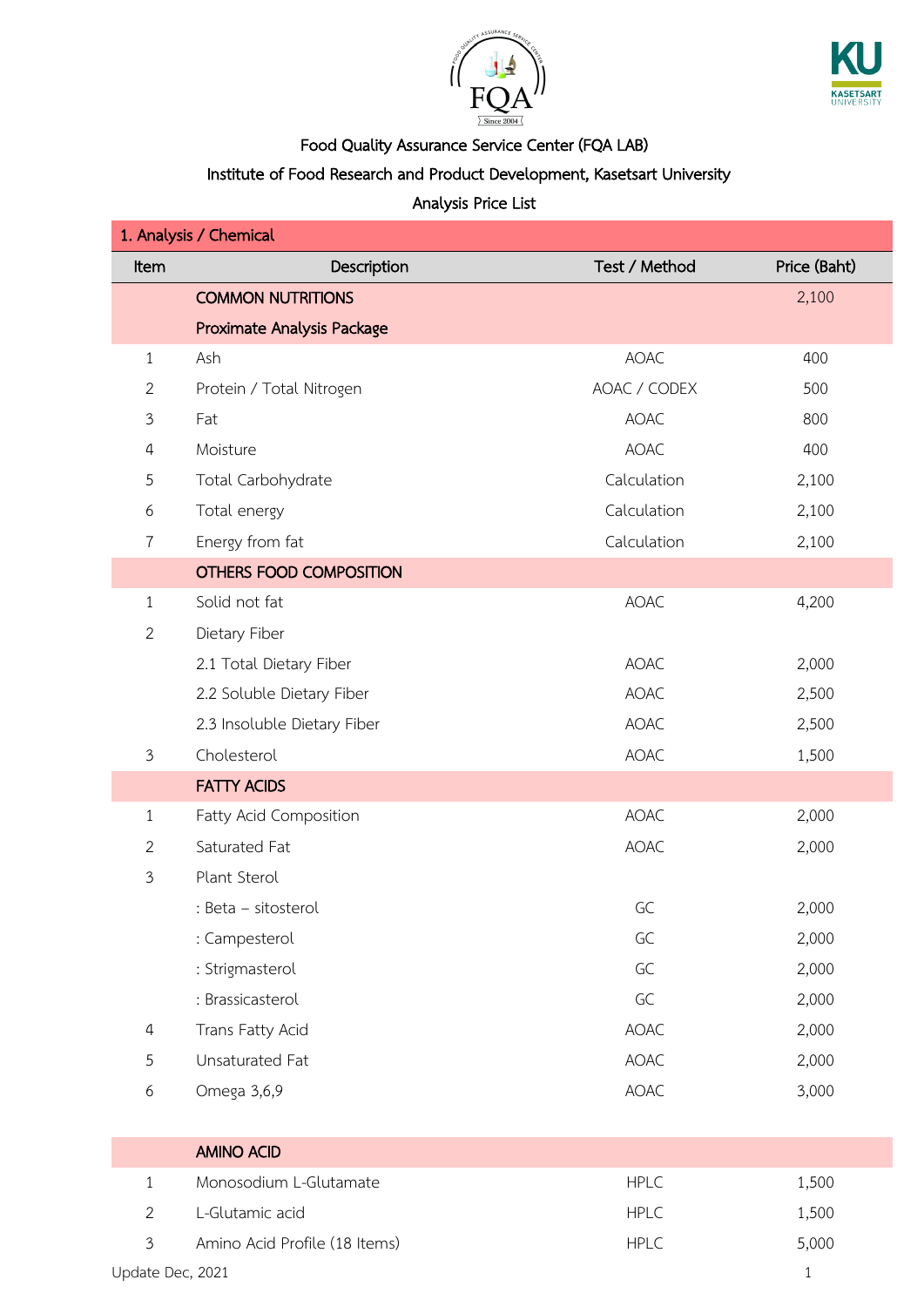



### Institute of Food Research and Product Development, Kasetsart University

| 1. Analysis / Chemical |                               |               |              |  |
|------------------------|-------------------------------|---------------|--------------|--|
| Item                   | Description                   | Test / Method | Price (Baht) |  |
|                        | <b>COMMON NUTRITIONS</b>      |               | 2,100        |  |
|                        | Proximate Analysis Package    |               |              |  |
| $\mathbf{1}$           | Ash                           | <b>AOAC</b>   | 400          |  |
| $\overline{2}$         | Protein / Total Nitrogen      | AOAC / CODEX  | 500          |  |
| $\mathfrak{Z}$         | Fat                           | <b>AOAC</b>   | 800          |  |
| 4                      | Moisture                      | <b>AOAC</b>   | 400          |  |
| 5                      | Total Carbohydrate            | Calculation   | 2,100        |  |
| 6                      | Total energy                  | Calculation   | 2,100        |  |
| $\overline{7}$         | Energy from fat               | Calculation   | 2,100        |  |
|                        | OTHERS FOOD COMPOSITION       |               |              |  |
| $\mathbf{1}$           | Solid not fat                 | <b>AOAC</b>   | 4,200        |  |
| $\overline{2}$         | Dietary Fiber                 |               |              |  |
|                        | 2.1 Total Dietary Fiber       | <b>AOAC</b>   | 2,000        |  |
|                        | 2.2 Soluble Dietary Fiber     | <b>AOAC</b>   | 2,500        |  |
|                        | 2.3 Insoluble Dietary Fiber   | AOAC          | 2,500        |  |
| $\mathfrak{Z}$         | Cholesterol                   | AOAC          | 1,500        |  |
|                        | <b>FATTY ACIDS</b>            |               |              |  |
| 1                      | Fatty Acid Composition        | <b>AOAC</b>   | 2,000        |  |
| $\overline{2}$         | Saturated Fat                 | AOAC          | 2,000        |  |
| 3                      | Plant Sterol                  |               |              |  |
|                        | : Beta - sitosterol           | GC            | 2,000        |  |
|                        | : Campesterol                 | GC            | 2,000        |  |
|                        | : Strigmasterol               | GC            | 2,000        |  |
|                        | : Brassicasterol              | GC            | 2,000        |  |
| $\overline{4}$         | Trans Fatty Acid              | AOAC          | 2,000        |  |
| 5                      | Unsaturated Fat               | AOAC          | 2,000        |  |
| 6                      | Omega 3,6,9                   | AOAC          | 3,000        |  |
|                        |                               |               |              |  |
|                        | <b>AMINO ACID</b>             |               |              |  |
| $\mathbf{1}$           | Monosodium L-Glutamate        | <b>HPLC</b>   | 1,500        |  |
| $\overline{2}$         | L-Glutamic acid               | <b>HPLC</b>   | 1,500        |  |
| 3                      | Amino Acid Profile (18 Items) | <b>HPLC</b>   | 5,000        |  |
| Update Dec, 2021       |                               |               | $\mathbf{1}$ |  |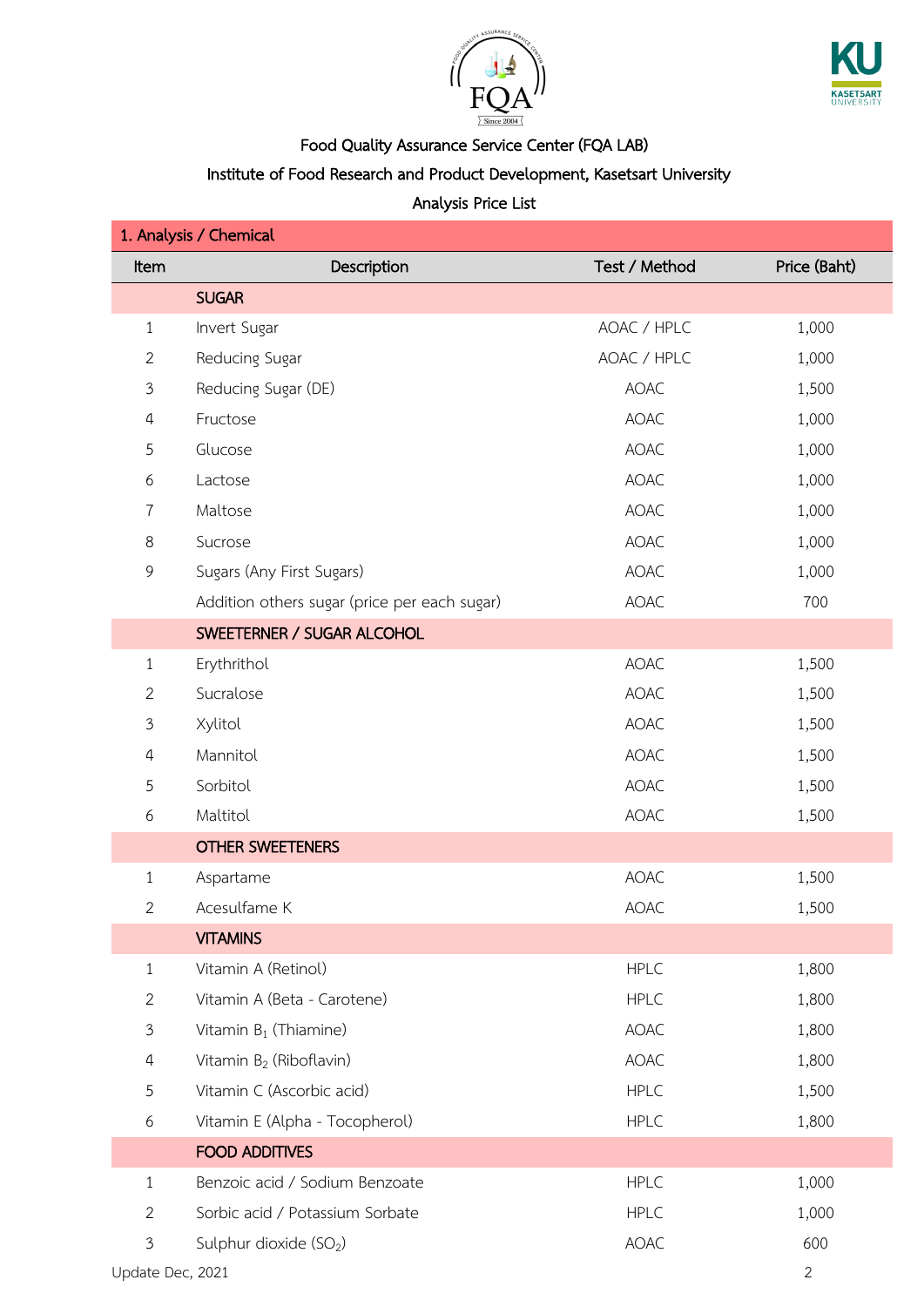



### Institute of Food Research and Product Development, Kasetsart University

| Item           | Description                                  | Test / Method | Price (Baht) |
|----------------|----------------------------------------------|---------------|--------------|
|                | <b>SUGAR</b>                                 |               |              |
| $\mathbf{1}$   | Invert Sugar                                 | AOAC / HPLC   | 1,000        |
| $\mathbf{2}$   | Reducing Sugar                               | AOAC / HPLC   | 1,000        |
| $\mathfrak{Z}$ | Reducing Sugar (DE)                          | <b>AOAC</b>   | 1,500        |
| $\overline{4}$ | Fructose                                     | <b>AOAC</b>   | 1,000        |
| $\overline{5}$ | Glucose                                      | <b>AOAC</b>   | 1,000        |
| 6              | Lactose                                      | <b>AOAC</b>   | 1,000        |
| 7              | Maltose                                      | <b>AOAC</b>   | 1,000        |
| $\,8\,$        | Sucrose                                      | <b>AOAC</b>   | 1,000        |
| 9              | Sugars (Any First Sugars)                    | <b>AOAC</b>   | 1,000        |
|                | Addition others sugar (price per each sugar) | <b>AOAC</b>   | 700          |
|                | SWEETERNER / SUGAR ALCOHOL                   |               |              |
| 1              | Erythrithol                                  | <b>AOAC</b>   | 1,500        |
| $\mathbf{2}$   | Sucralose                                    | <b>AOAC</b>   | 1,500        |
| $\mathfrak{Z}$ | Xylitol                                      | AOAC          | 1,500        |
| $\overline{4}$ | Mannitol                                     | <b>AOAC</b>   | 1,500        |
| $\sqrt{5}$     | Sorbitol                                     | <b>AOAC</b>   | 1,500        |
| 6              | Maltitol                                     | <b>AOAC</b>   | 1,500        |
|                | <b>OTHER SWEETENERS</b>                      |               |              |
| $\mathbf{1}$   | Aspartame                                    | <b>AOAC</b>   | 1,500        |
| 2              | Acesulfame K                                 | <b>AOAC</b>   | 1,500        |
|                | <b>VITAMINS</b>                              |               |              |
| $\mathbf{1}$   | Vitamin A (Retinol)                          | <b>HPLC</b>   | 1,800        |
| $\mathbf{2}$   | Vitamin A (Beta - Carotene)                  | <b>HPLC</b>   | 1,800        |
| $\mathfrak{Z}$ | Vitamin $B_1$ (Thiamine)                     | <b>AOAC</b>   | 1,800        |
| $\overline{4}$ | Vitamin $B_2$ (Riboflavin)                   | <b>AOAC</b>   | 1,800        |
| 5              | Vitamin C (Ascorbic acid)                    | <b>HPLC</b>   | 1,500        |
| 6              | Vitamin E (Alpha - Tocopherol)               | <b>HPLC</b>   | 1,800        |
|                | <b>FOOD ADDITIVES</b>                        |               |              |
| $\mathbf{1}$   | Benzoic acid / Sodium Benzoate               | <b>HPLC</b>   | 1,000        |
| $\overline{2}$ | Sorbic acid / Potassium Sorbate              | <b>HPLC</b>   | 1,000        |
| 3              | Sulphur dioxide $(SO2)$                      | <b>AOAC</b>   | 600          |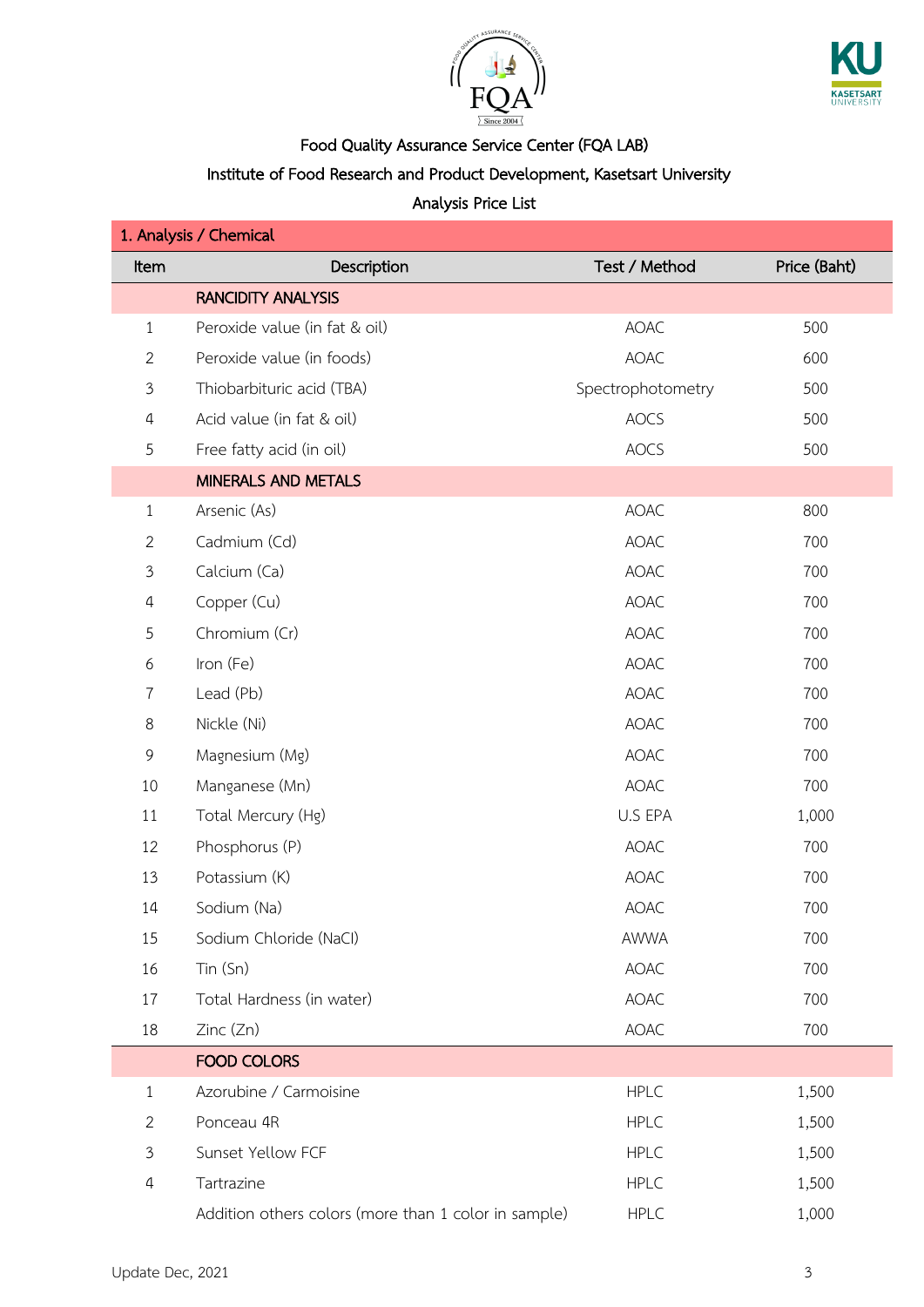



### Institute of Food Research and Product Development, Kasetsart University

| 1. Analysis / Chemical |                                                      |                   |              |  |
|------------------------|------------------------------------------------------|-------------------|--------------|--|
| Item                   | Description                                          | Test / Method     | Price (Baht) |  |
|                        | <b>RANCIDITY ANALYSIS</b>                            |                   |              |  |
| $\mathbf{1}$           | Peroxide value (in fat & oil)                        | <b>AOAC</b>       | 500          |  |
| $\overline{2}$         | Peroxide value (in foods)                            | AOAC              | 600          |  |
| $\mathfrak{Z}$         | Thiobarbituric acid (TBA)                            | Spectrophotometry | 500          |  |
| $\overline{4}$         | Acid value (in fat & oil)                            | <b>AOCS</b>       | 500          |  |
| 5                      | Free fatty acid (in oil)                             | <b>AOCS</b>       | 500          |  |
|                        | MINERALS AND METALS                                  |                   |              |  |
| $\mathbf{1}$           | Arsenic (As)                                         | <b>AOAC</b>       | 800          |  |
| $\overline{2}$         | Cadmium (Cd)                                         | <b>AOAC</b>       | 700          |  |
| $\mathfrak{Z}$         | Calcium (Ca)                                         | <b>AOAC</b>       | 700          |  |
| $\overline{4}$         | Copper (Cu)                                          | <b>AOAC</b>       | 700          |  |
| 5                      | Chromium (Cr)                                        | <b>AOAC</b>       | 700          |  |
| 6                      | Iron (Fe)                                            | <b>AOAC</b>       | 700          |  |
| $\overline{7}$         | Lead (Pb)                                            | <b>AOAC</b>       | 700          |  |
| 8                      | Nickle (Ni)                                          | <b>AOAC</b>       | 700          |  |
| 9                      | Magnesium (Mg)                                       | <b>AOAC</b>       | 700          |  |
| 10                     | Manganese (Mn)                                       | <b>AOAC</b>       | 700          |  |
| 11                     | Total Mercury (Hg)                                   | U.S EPA           | 1,000        |  |
| 12                     | Phosphorus (P)                                       | <b>AOAC</b>       | 700          |  |
| 13                     | Potassium (K)                                        | <b>AOAC</b>       | 700          |  |
| 14                     | Sodium (Na)                                          | <b>AOAC</b>       | 700          |  |
| 15                     | Sodium Chloride (NaCl)                               | AWWA              | 700          |  |
| 16                     | $T$ in $(Sn)$                                        | <b>AOAC</b>       | 700          |  |
| 17                     | Total Hardness (in water)                            | <b>AOAC</b>       | 700          |  |
| 18                     | Zinc (Zn)                                            | AOAC              | 700          |  |
|                        | <b>FOOD COLORS</b>                                   |                   |              |  |
| $\mathbf{1}$           | Azorubine / Carmoisine                               | <b>HPLC</b>       | 1,500        |  |
| $\overline{2}$         | Ponceau 4R                                           | <b>HPLC</b>       | 1,500        |  |
| $\mathfrak{Z}$         | Sunset Yellow FCF                                    | <b>HPLC</b>       | 1,500        |  |
| $\overline{4}$         | Tartrazine                                           | <b>HPLC</b>       | 1,500        |  |
|                        | Addition others colors (more than 1 color in sample) | <b>HPLC</b>       | 1,000        |  |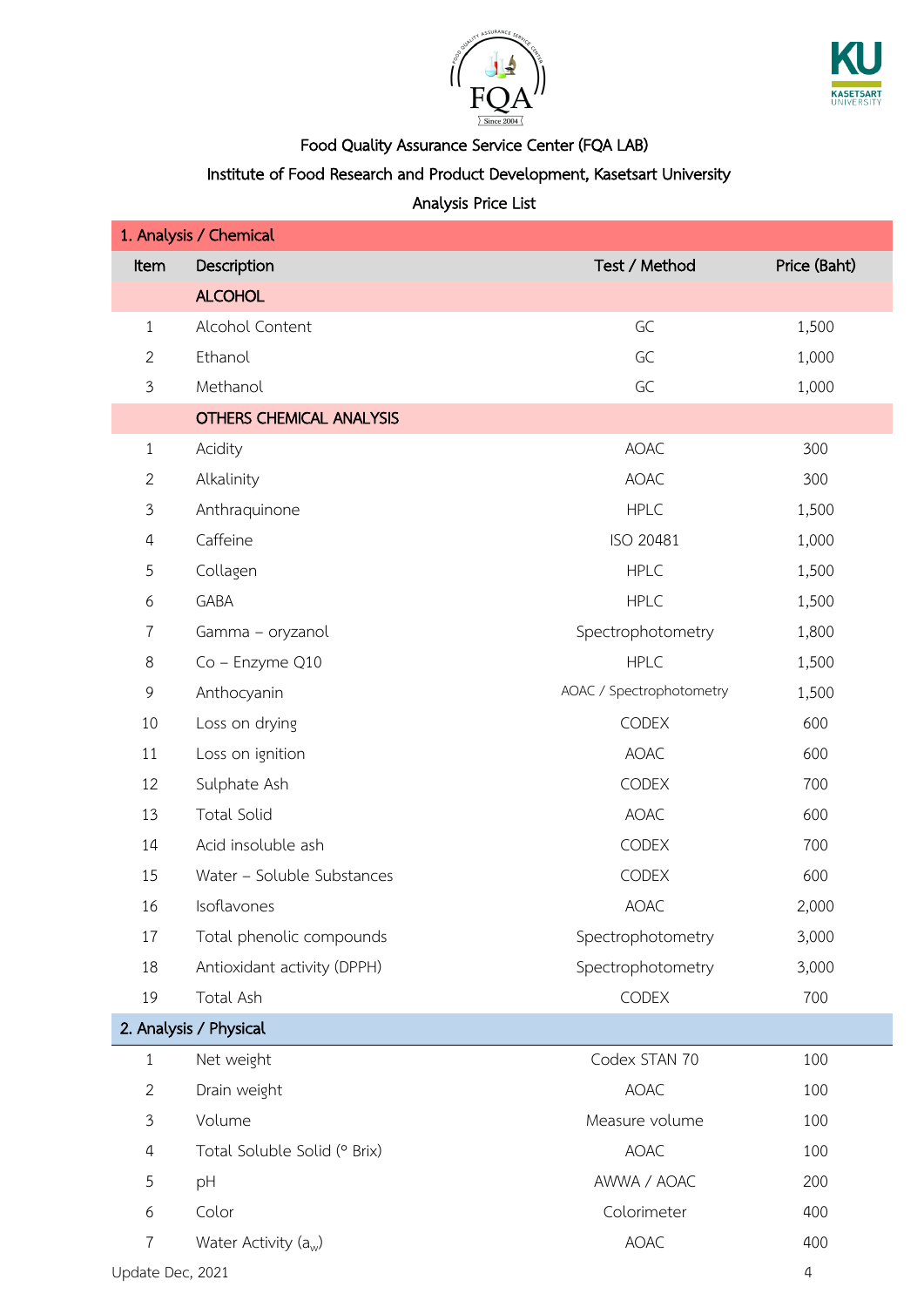



### Institute of Food Research and Product Development, Kasetsart University

| 1. Analysis / Chemical |                                 |                          |                |  |
|------------------------|---------------------------------|--------------------------|----------------|--|
| Item                   | Description                     | Test / Method            | Price (Baht)   |  |
|                        | <b>ALCOHOL</b>                  |                          |                |  |
| $\mathbf{1}$           | Alcohol Content                 | GC                       | 1,500          |  |
| $\mathbf{2}$           | Ethanol                         | GC                       | 1,000          |  |
| $\mathfrak{Z}$         | Methanol                        | GC                       | 1,000          |  |
|                        | <b>OTHERS CHEMICAL ANALYSIS</b> |                          |                |  |
| $\mathbf{1}$           | Acidity                         | <b>AOAC</b>              | 300            |  |
| $\mathbf{2}$           | Alkalinity                      | <b>AOAC</b>              | 300            |  |
| $\mathfrak{Z}$         | Anthraquinone                   | <b>HPLC</b>              | 1,500          |  |
| $\overline{4}$         | Caffeine                        | ISO 20481                | 1,000          |  |
| 5                      | Collagen                        | <b>HPLC</b>              | 1,500          |  |
| 6                      | GABA                            | <b>HPLC</b>              | 1,500          |  |
| $\overline{7}$         | Gamma - oryzanol                | Spectrophotometry        | 1,800          |  |
| 8                      | Co - Enzyme Q10                 | <b>HPLC</b>              | 1,500          |  |
| 9                      | Anthocyanin                     | AOAC / Spectrophotometry | 1,500          |  |
| 10                     | Loss on drying                  | CODEX                    | 600            |  |
| 11                     | Loss on ignition                | <b>AOAC</b>              | 600            |  |
| 12                     | Sulphate Ash                    | CODEX                    | 700            |  |
| 13                     | <b>Total Solid</b>              | <b>AOAC</b>              | 600            |  |
| 14                     | Acid insoluble ash              | <b>CODEX</b>             | 700            |  |
| 15                     | Water - Soluble Substances      | CODEX                    | 600            |  |
| 16                     | Isoflavones                     | <b>AOAC</b>              | 2,000          |  |
| 17                     | Total phenolic compounds        | Spectrophotometry        | 3,000          |  |
| 18                     | Antioxidant activity (DPPH)     | Spectrophotometry        | 3,000          |  |
| 19                     | Total Ash                       | CODEX                    | 700            |  |
|                        | 2. Analysis / Physical          |                          |                |  |
| $\mathbf{1}$           | Net weight                      | Codex STAN 70            | 100            |  |
| $\overline{2}$         | Drain weight                    | <b>AOAC</b>              | 100            |  |
| $\mathfrak{Z}$         | Volume                          | Measure volume           | 100            |  |
| 4                      | Total Soluble Solid (° Brix)    | <b>AOAC</b>              | 100            |  |
| 5                      | pH                              | AWWA / AOAC              | 200            |  |
| 6                      | Color                           | Colorimeter              | 400            |  |
| 7                      | Water Activity $(a_w)$          | <b>AOAC</b>              | 400            |  |
| Update Dec, 2021       |                                 |                          | $\overline{4}$ |  |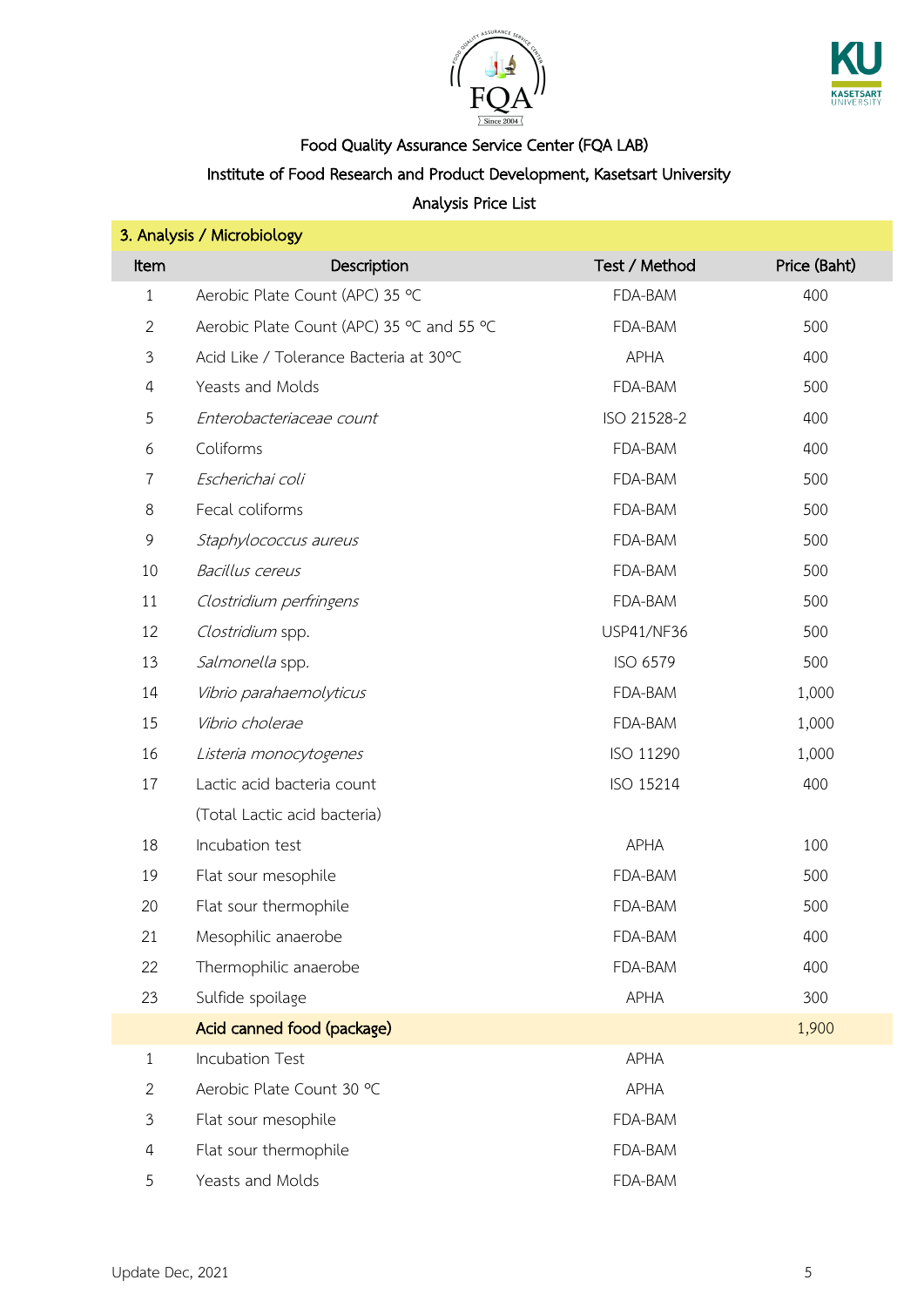



Institute of Food Research and Product Development, Kasetsart University

| 3. Analysis / Microbiology |                                           |                   |              |  |
|----------------------------|-------------------------------------------|-------------------|--------------|--|
| Item                       | Description                               | Test / Method     | Price (Baht) |  |
| $\mathbf{1}$               | Aerobic Plate Count (APC) 35 °C           | FDA-BAM           | 400          |  |
| $\overline{2}$             | Aerobic Plate Count (APC) 35 °C and 55 °C | FDA-BAM           | 500          |  |
| $\mathfrak{Z}$             | Acid Like / Tolerance Bacteria at 30°C    | <b>APHA</b>       | 400          |  |
| 4                          | Yeasts and Molds                          | FDA-BAM           | 500          |  |
| $\mathfrak s$              | Enterobacteriaceae count                  | ISO 21528-2       | 400          |  |
| 6                          | Coliforms                                 | FDA-BAM           | 400          |  |
| $\overline{7}$             | Escherichai coli                          | FDA-BAM           | 500          |  |
| 8                          | Fecal coliforms                           | FDA-BAM           | 500          |  |
| 9                          | Staphylococcus aureus                     | FDA-BAM           | 500          |  |
| 10                         | Bacillus cereus                           | FDA-BAM           | 500          |  |
| 11                         | Clostridium perfringens                   | FDA-BAM           | 500          |  |
| 12                         | Clostridium spp.                          | <b>USP41/NF36</b> | 500          |  |
| 13                         | Salmonella spp.                           | ISO 6579          | 500          |  |
| 14                         | Vibrio parahaemolyticus                   | FDA-BAM           | 1,000        |  |
| 15                         | Vibrio cholerae                           | FDA-BAM           | 1,000        |  |
| 16                         | Listeria monocytogenes                    | ISO 11290         | 1,000        |  |
| 17                         | Lactic acid bacteria count                | ISO 15214         | 400          |  |
|                            | (Total Lactic acid bacteria)              |                   |              |  |
| 18                         | Incubation test                           | <b>APHA</b>       | 100          |  |
| 19                         | Flat sour mesophile                       | FDA-BAM           | 500          |  |
| 20                         | Flat sour thermophile                     | FDA-BAM           | 500          |  |
| 21                         | Mesophilic anaerobe                       | FDA-BAM           | 400          |  |
| 22                         | Thermophilic anaerobe                     | FDA-BAM           | 400          |  |
| 23                         | Sulfide spoilage                          | <b>APHA</b>       | 300          |  |
|                            | Acid canned food (package)                |                   | 1,900        |  |
| $\mathbf{1}$               | Incubation Test                           | <b>APHA</b>       |              |  |
| $\overline{2}$             | Aerobic Plate Count 30 °C                 | <b>APHA</b>       |              |  |
| 3                          | Flat sour mesophile                       | FDA-BAM           |              |  |
| $\overline{4}$             | Flat sour thermophile                     | FDA-BAM           |              |  |
| 5                          | Yeasts and Molds                          | FDA-BAM           |              |  |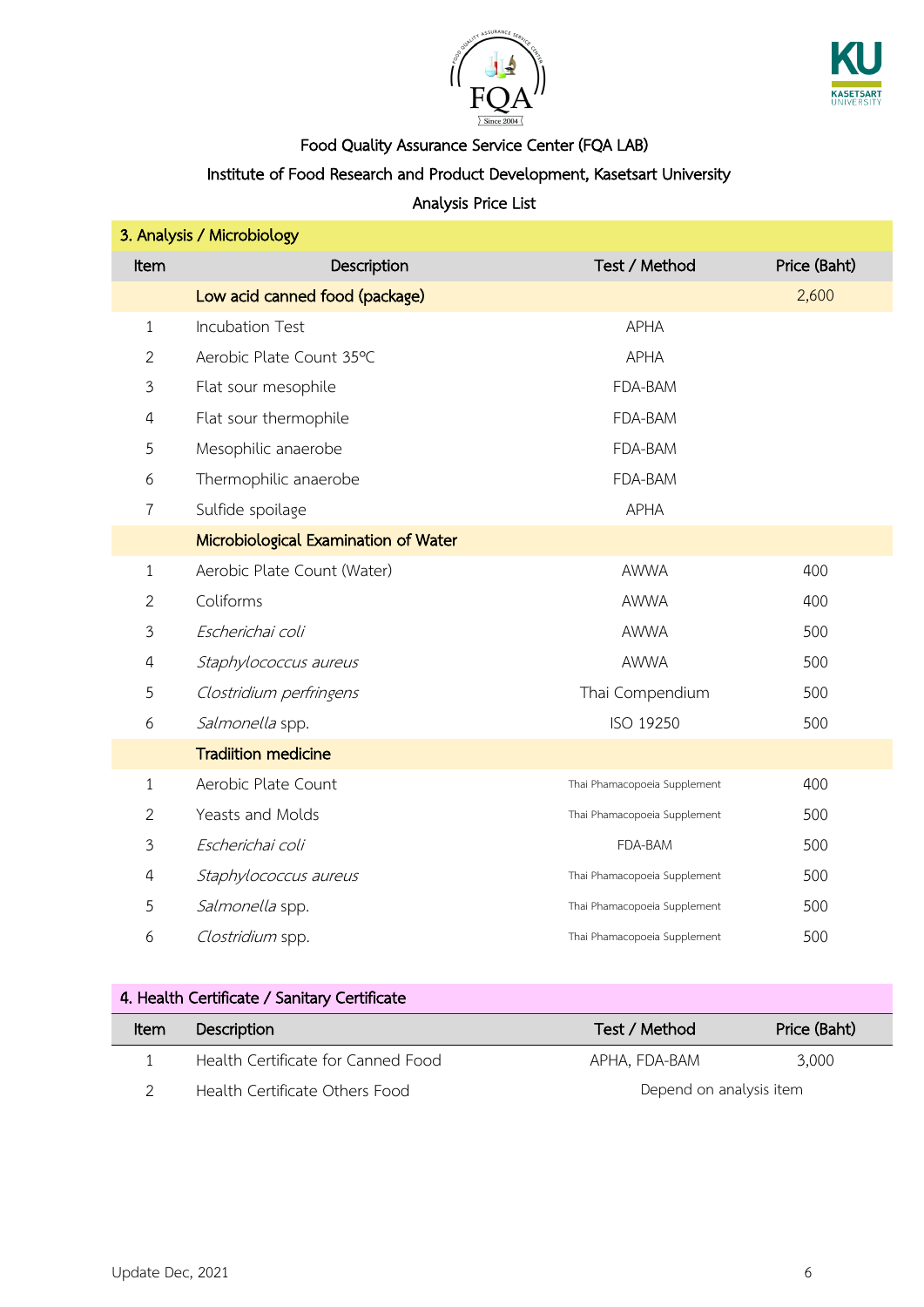



# Institute of Food Research and Product Development, Kasetsart University

#### Analysis Price List

| 3. Analysis / Microbiology |                                      |                              |              |  |
|----------------------------|--------------------------------------|------------------------------|--------------|--|
| <b>Item</b>                | Description                          | Test / Method                | Price (Baht) |  |
|                            | Low acid canned food (package)       |                              | 2,600        |  |
| $\mathbf{1}$               | <b>Incubation Test</b>               | <b>APHA</b>                  |              |  |
| $\overline{2}$             | Aerobic Plate Count 35°C             | <b>APHA</b>                  |              |  |
| 3                          | Flat sour mesophile                  | FDA-BAM                      |              |  |
| 4                          | Flat sour thermophile                | FDA-BAM                      |              |  |
| 5                          | Mesophilic anaerobe                  | FDA-BAM                      |              |  |
| 6                          | Thermophilic anaerobe                | FDA-BAM                      |              |  |
| 7                          | Sulfide spoilage                     | <b>APHA</b>                  |              |  |
|                            | Microbiological Examination of Water |                              |              |  |
| $\mathbf{1}$               | Aerobic Plate Count (Water)          | <b>AWWA</b>                  | 400          |  |
| $\overline{2}$             | Coliforms                            | <b>AWWA</b>                  | 400          |  |
| 3                          | Escherichai coli                     | <b>AWWA</b>                  | 500          |  |
| 4                          | Staphylococcus aureus                | <b>AWWA</b>                  | 500          |  |
| 5                          | Clostridium perfringens              | Thai Compendium              | 500          |  |
| 6                          | Salmonella spp.                      | ISO 19250                    | 500          |  |
|                            | <b>Tradiition medicine</b>           |                              |              |  |
| 1                          | Aerobic Plate Count                  | Thai Phamacopoeia Supplement | 400          |  |
| $\mathbf{2}$               | Yeasts and Molds                     | Thai Phamacopoeia Supplement | 500          |  |
| 3                          | Escherichai coli                     | FDA-BAM                      | 500          |  |
| 4                          | Staphylococcus aureus                | Thai Phamacopoeia Supplement | 500          |  |
| 5                          | Salmonella spp.                      | Thai Phamacopoeia Supplement | 500          |  |
| 6                          | Clostridium spp.                     | Thai Phamacopoeia Supplement | 500          |  |

### 4. Health Certificate / Sanitary Certificate

| ltem | Description                        | Test / Method           | Price (Baht) |
|------|------------------------------------|-------------------------|--------------|
|      | Health Certificate for Canned Food | APHA. FDA-BAM           | 3.000        |
|      | Health Certificate Others Food     | Depend on analysis item |              |